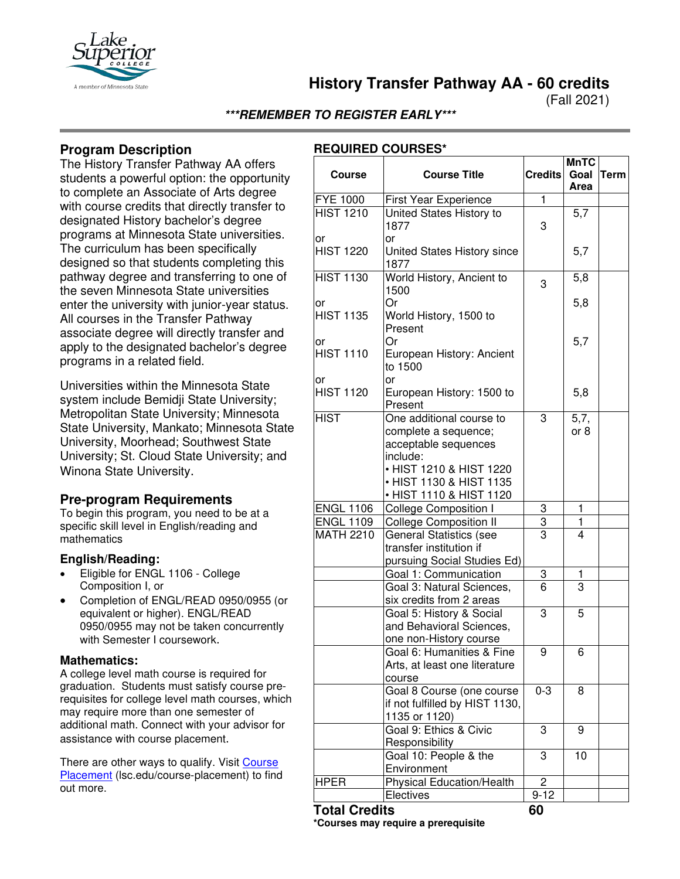

**History Transfer Pathway AA - 60 credits**

(Fall 2021)

**\*\*\*REMEMBER TO REGISTER EARLY\*\*\***

# **Program Description**

The History Transfer Pathway AA offers students a powerful option: the opportunity to complete an Associate of Arts degree with course credits that directly transfer to designated History bachelor's degree programs at Minnesota State universities. The curriculum has been specifically designed so that students completing this pathway degree and transferring to one of the seven Minnesota State universities enter the university with junior-year status. All courses in the Transfer Pathway associate degree will directly transfer and apply to the designated bachelor's degree programs in a related field.

Universities within the Minnesota State system include Bemidji State University; Metropolitan State University; Minnesota State University, Mankato; Minnesota State University, Moorhead; Southwest State University; St. Cloud State University; and Winona State University.

### **Pre-program Requirements**

To begin this program, you need to be at a specific skill level in English/reading and mathematics

### **English/Reading:**

- Eligible for ENGL 1106 College Composition I, or
- Completion of ENGL/READ 0950/0955 (or equivalent or higher). ENGL/READ 0950/0955 may not be taken concurrently with Semester I coursework.

#### **Mathematics:**

A college level math course is required for graduation. Students must satisfy course prerequisites for college level math courses, which may require more than one semester of additional math. Connect with your advisor for assistance with course placement.

There are other ways to qualify. Visit Course [Placement](https://www.lsc.edu/course-placement/) (Isc.edu/course-placement) to find out more.

## **REQUIRED COURSES\***

| <b>Course</b>          | <b>Course Title</b>                                                                                                                                                   | <b>Credits</b> | <b>MnTC</b><br>Goal<br>Area | <b>Term</b> |
|------------------------|-----------------------------------------------------------------------------------------------------------------------------------------------------------------------|----------------|-----------------------------|-------------|
| <b>FYE 1000</b>        | First Year Experience                                                                                                                                                 | $\mathbf{1}$   |                             |             |
| <b>HIST 1210</b>       | United States History to<br>1877<br>or                                                                                                                                | 3              | 5,7                         |             |
| or<br><b>HIST 1220</b> | United States History since<br>1877                                                                                                                                   |                | 5,7                         |             |
| <b>HIST 1130</b>       | World History, Ancient to<br>1500                                                                                                                                     | 3              | 5,8                         |             |
| or<br><b>HIST 1135</b> | Or<br>World History, 1500 to<br>Present                                                                                                                               |                | 5,8                         |             |
| or<br><b>HIST 1110</b> | Or<br>European History: Ancient<br>to 1500                                                                                                                            |                | 5,7                         |             |
| or<br><b>HIST 1120</b> | <b>or</b><br>European History: 1500 to<br>Present                                                                                                                     |                | 5,8                         |             |
| <b>HIST</b>            | One additional course to<br>complete a sequence;<br>acceptable sequences<br>include:<br>• HIST 1210 & HIST 1220<br>• HIST 1130 & HIST 1135<br>• HIST 1110 & HIST 1120 | 3              | 5,7,<br>or 8                |             |
| <b>ENGL 1106</b>       | <b>College Composition I</b>                                                                                                                                          | 3              | 1                           |             |
| <b>ENGL 1109</b>       | <b>College Composition II</b>                                                                                                                                         | 3              | 1                           |             |
| <b>MATH 2210</b>       | <b>General Statistics (see</b><br>transfer institution if<br>pursuing Social Studies Ed)                                                                              | 3              | 4                           |             |
|                        | Goal 1: Communication                                                                                                                                                 | 3              | 1                           |             |
|                        | Goal 3: Natural Sciences,<br>six credits from 2 areas                                                                                                                 | 6              | $\overline{3}$              |             |
|                        | Goal 5: History & Social<br>and Behavioral Sciences,<br>one non-History course                                                                                        | 3              | 5                           |             |
|                        | Goal 6: Humanities & Fine<br>Arts, at least one literature<br>course                                                                                                  | 9              | 6                           |             |
|                        | Goal 8 Course (one course<br>if not fulfilled by HIST 1130,<br>1135 or 1120)                                                                                          | $0 - 3$        | 8                           |             |
|                        | Goal 9: Ethics & Civic<br>Responsibility                                                                                                                              | 3              | 9                           |             |
|                        | Goal 10: People & the<br>Environment                                                                                                                                  | 3              | 10                          |             |
| <b>HPER</b>            | <b>Physical Education/Health</b>                                                                                                                                      | $\overline{2}$ |                             |             |
|                        | Electives                                                                                                                                                             | $9 - 12$       |                             |             |
| <b>Total Credits</b>   |                                                                                                                                                                       | 60             |                             |             |

**\*Courses may require a prerequisite**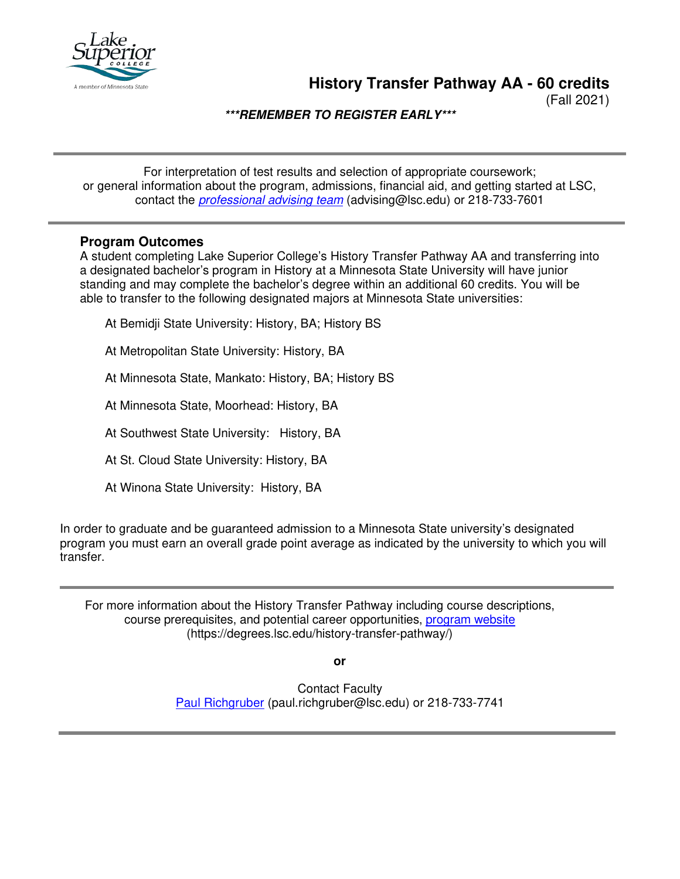

**History Transfer Pathway AA - 60 credits**

(Fall 2021)

**\*\*\*REMEMBER TO REGISTER EARLY\*\*\***

For interpretation of test results and selection of appropriate coursework; or general information about the program, admissions, financial aid, and getting started at LSC, contact the *[professional advising team](mailto:advising@lsc.edu)* (advising@lsc.edu) or 218-733-7601

### **Program Outcomes**

A student completing Lake Superior College's History Transfer Pathway AA and transferring into a designated bachelor's program in History at a Minnesota State University will have junior standing and may complete the bachelor's degree within an additional 60 credits. You will be able to transfer to the following designated majors at Minnesota State universities:

At Bemidji State University: History, BA; History BS

At Metropolitan State University: History, BA

At Minnesota State, Mankato: History, BA; History BS

At Minnesota State, Moorhead: History, BA

At Southwest State University: History, BA

At St. Cloud State University: History, BA

At Winona State University: History, BA

In order to graduate and be guaranteed admission to a Minnesota State university's designated program you must earn an overall grade point average as indicated by the university to which you will transfer.

For more information about the History Transfer Pathway including course descriptions, course prerequisites, and potential career opportunities, [program website](https://degrees.lsc.edu/history-transfer-pathway/) (https://degrees.lsc.edu/history-transfer-pathway/)

**or**

Contact Faculty [Paul Richgruber](mailto:paul.richgruber@lsc.edu) (paul.richgruber@lsc.edu) or 218-733-7741